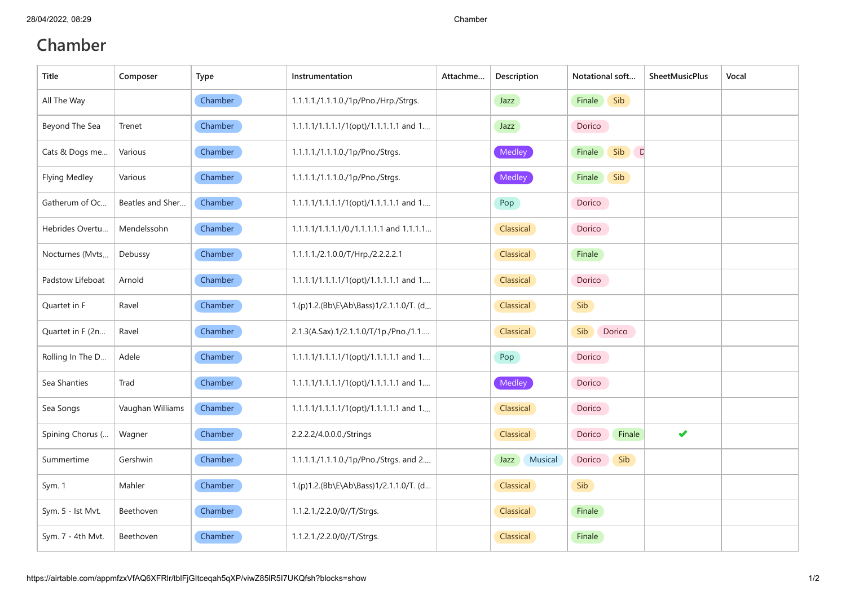## **Chamber**

| <b>Title</b>         | Composer         | Type    | Instrumentation                          | Attachme | Description     | Notational soft         | <b>SheetMusicPlus</b> | Vocal |
|----------------------|------------------|---------|------------------------------------------|----------|-----------------|-------------------------|-----------------------|-------|
| All The Way          |                  | Chamber | 1.1.1.1./1.1.1.0./1p/Pno./Hrp./Strgs.    |          | Jazz            | Sib<br>Finale           |                       |       |
| Beyond The Sea       | Trenet           | Chamber | 1.1.1.1/1.1.1.1/1(opt)/1.1.1.1.1 and 1   |          | Jazz            | Dorico                  |                       |       |
| Cats & Dogs me       | Various          | Chamber | 1.1.1.1./1.1.1.0./1p/Pno./Strgs.         |          | Medley          | Sib<br>Finale<br>$\Box$ |                       |       |
| <b>Flying Medley</b> | Various          | Chamber | 1.1.1.1./1.1.1.0./1p/Pno./Strgs.         |          | Medley          | Sib<br>Finale           |                       |       |
| Gatherum of Oc       | Beatles and Sher | Chamber | 1.1.1.1/1.1.1.1/1(opt)/1.1.1.1.1 and 1   |          | Pop             | Dorico                  |                       |       |
| Hebrides Overtu      | Mendelssohn      | Chamber | 1.1.1.1/1.1.1.1/0./1.1.1.1.1 and 1.1.1.1 |          | Classical       | Dorico                  |                       |       |
| Nocturnes (Mvts      | Debussy          | Chamber | 1.1.1.1./2.1.0.0/T/Hrp./2.2.2.2.1        |          | Classical       | Finale                  |                       |       |
| Padstow Lifeboat     | Arnold           | Chamber | 1.1.1.1/1.1.1.1/1(opt)/1.1.1.1.1 and 1   |          | Classical       | Dorico                  |                       |       |
| Quartet in F         | Ravel            | Chamber | 1.(p)1.2.(Bb\E\Ab\Bass)1/2.1.1.0/T. (d   |          | Classical       | Sib                     |                       |       |
| Quartet in F (2n     | Ravel            | Chamber | 2.1.3(A.Sax).1/2.1.1.0/T/1p./Pno./1.1    |          | Classical       | Sib<br>Dorico           |                       |       |
| Rolling In The D     | Adele            | Chamber | 1.1.1.1/1.1.1.1/1(opt)/1.1.1.1.1 and 1   |          | Pop             | Dorico                  |                       |       |
| Sea Shanties         | Trad             | Chamber | 1.1.1.1/1.1.1.1/1(opt)/1.1.1.1.1 and 1   |          | Medley          | Dorico                  |                       |       |
| Sea Songs            | Vaughan Williams | Chamber | 1.1.1.1/1.1.1.1/1(opt)/1.1.1.1.1 and 1   |          | Classical       | Dorico                  |                       |       |
| Spining Chorus (     | Wagner           | Chamber | 2.2.2.2/4.0.0.0./Strings                 |          | Classical       | Dorico<br>Finale        | ✔                     |       |
| Summertime           | Gershwin         | Chamber | 1.1.1.1./1.1.1.0./1p/Pno./Strgs. and 2   |          | Musical<br>Jazz | Dorico<br>Sib           |                       |       |
| Sym. 1               | Mahler           | Chamber | 1.(p)1.2.(Bb\E\Ab\Bass)1/2.1.1.0/T. (d   |          | Classical       | Sib                     |                       |       |
| Sym. 5 - Ist Mvt.    | Beethoven        | Chamber | 1.1.2.1./2.2.0/0//T/Strgs.               |          | Classical       | Finale                  |                       |       |
| Sym. 7 - 4th Mvt.    | Beethoven        | Chamber | 1.1.2.1./2.2.0/0//T/Strgs.               |          | Classical       | Finale                  |                       |       |